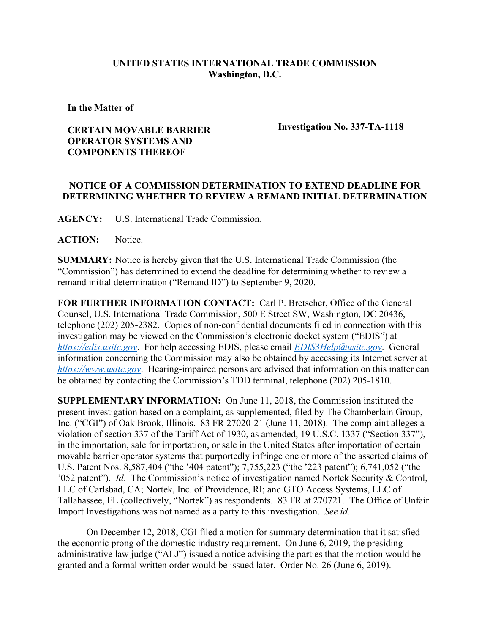## **UNITED STATES INTERNATIONAL TRADE COMMISSION Washington, D.C.**

**In the Matter of**

## **CERTAIN MOVABLE BARRIER OPERATOR SYSTEMS AND COMPONENTS THEREOF**

**Investigation No. 337-TA-1118**

## **NOTICE OF A COMMISSION DETERMINATION TO EXTEND DEADLINE FOR DETERMINING WHETHER TO REVIEW A REMAND INITIAL DETERMINATION**

**AGENCY:** U.S. International Trade Commission.

**ACTION:** Notice.

**SUMMARY:** Notice is hereby given that the U.S. International Trade Commission (the "Commission") has determined to extend the deadline for determining whether to review a remand initial determination ("Remand ID") to September 9, 2020.

**FOR FURTHER INFORMATION CONTACT:** Carl P. Bretscher, Office of the General Counsel, U.S. International Trade Commission, 500 E Street SW, Washington, DC 20436, telephone (202) 205-2382. Copies of non-confidential documents filed in connection with this investigation may be viewed on the Commission's electronic docket system ("EDIS") at *[https://edis.usitc.gov](https://edis.usitc.gov/)*. For help accessing EDIS, please email *[EDIS3Help@usitc.gov](mailto:EDIS3Help@usitc.gov)*. General information concerning the Commission may also be obtained by accessing its Internet server at *[https://www.usitc.gov](https://www.usitc.gov/)*. Hearing-impaired persons are advised that information on this matter can be obtained by contacting the Commission's TDD terminal, telephone (202) 205-1810.

**SUPPLEMENTARY INFORMATION:** On June 11, 2018, the Commission instituted the present investigation based on a complaint, as supplemented, filed by The Chamberlain Group, Inc. ("CGI") of Oak Brook, Illinois. 83 FR 27020-21 (June 11, 2018). The complaint alleges a violation of section 337 of the Tariff Act of 1930, as amended, 19 U.S.C. 1337 ("Section 337"), in the importation, sale for importation, or sale in the United States after importation of certain movable barrier operator systems that purportedly infringe one or more of the asserted claims of U.S. Patent Nos. 8,587,404 ("the '404 patent"); 7,755,223 ("the '223 patent"); 6,741,052 ("the '052 patent"). *Id*. The Commission's notice of investigation named Nortek Security & Control, LLC of Carlsbad, CA; Nortek, Inc. of Providence, RI; and GTO Access Systems, LLC of Tallahassee, FL (collectively, "Nortek") as respondents. 83 FR at 270721. The Office of Unfair Import Investigations was not named as a party to this investigation. *See id.*

On December 12, 2018, CGI filed a motion for summary determination that it satisfied the economic prong of the domestic industry requirement. On June 6, 2019, the presiding administrative law judge ("ALJ") issued a notice advising the parties that the motion would be granted and a formal written order would be issued later. Order No. 26 (June 6, 2019).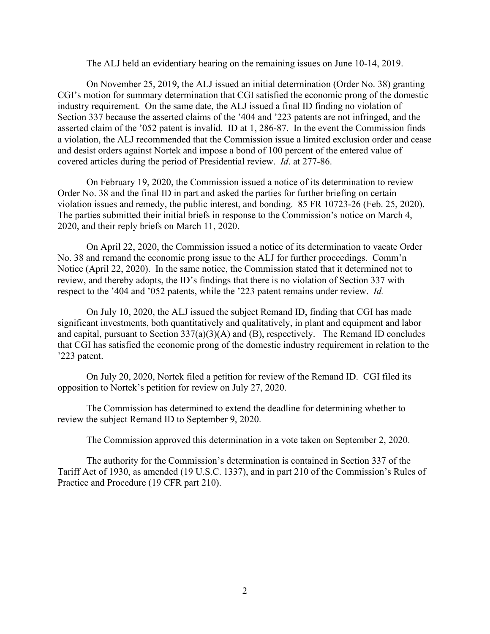The ALJ held an evidentiary hearing on the remaining issues on June 10-14, 2019.

On November 25, 2019, the ALJ issued an initial determination (Order No. 38) granting CGI's motion for summary determination that CGI satisfied the economic prong of the domestic industry requirement. On the same date, the ALJ issued a final ID finding no violation of Section 337 because the asserted claims of the '404 and '223 patents are not infringed, and the asserted claim of the '052 patent is invalid. ID at 1, 286-87. In the event the Commission finds a violation, the ALJ recommended that the Commission issue a limited exclusion order and cease and desist orders against Nortek and impose a bond of 100 percent of the entered value of covered articles during the period of Presidential review. *Id*. at 277-86.

On February 19, 2020, the Commission issued a notice of its determination to review Order No. 38 and the final ID in part and asked the parties for further briefing on certain violation issues and remedy, the public interest, and bonding. 85 FR 10723-26 (Feb. 25, 2020). The parties submitted their initial briefs in response to the Commission's notice on March 4, 2020, and their reply briefs on March 11, 2020.

On April 22, 2020, the Commission issued a notice of its determination to vacate Order No. 38 and remand the economic prong issue to the ALJ for further proceedings. Comm'n Notice (April 22, 2020). In the same notice, the Commission stated that it determined not to review, and thereby adopts, the ID's findings that there is no violation of Section 337 with respect to the '404 and '052 patents, while the '223 patent remains under review. *Id.*

On July 10, 2020, the ALJ issued the subject Remand ID, finding that CGI has made significant investments, both quantitatively and qualitatively, in plant and equipment and labor and capital, pursuant to Section  $337(a)(3)(A)$  and (B), respectively. The Remand ID concludes that CGI has satisfied the economic prong of the domestic industry requirement in relation to the '223 patent.

On July 20, 2020, Nortek filed a petition for review of the Remand ID. CGI filed its opposition to Nortek's petition for review on July 27, 2020.

The Commission has determined to extend the deadline for determining whether to review the subject Remand ID to September 9, 2020.

The Commission approved this determination in a vote taken on September 2, 2020.

The authority for the Commission's determination is contained in Section 337 of the Tariff Act of 1930, as amended (19 U.S.C. 1337), and in part 210 of the Commission's Rules of Practice and Procedure (19 CFR part 210).